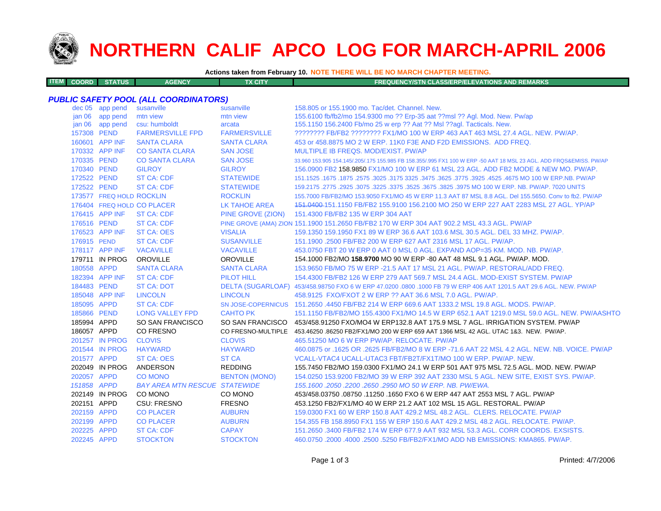

**ITEM**

# **NORTHERN CALIF APCO LOG FOR MARCH-APRIL 2006**

**Actions taken from February 10. NOTE THERE WILL BE NO MARCH CHAPTER MEETING.**

| <b>M COORD STATUS</b><br><b>FX CITY</b><br><b>AGENCY</b><br><b>FREQUENCY/STN CLASS/ERP/ELEVATIONS AND REMARKS</b> |  |
|-------------------------------------------------------------------------------------------------------------------|--|
|-------------------------------------------------------------------------------------------------------------------|--|

## *PUBLIC SAFETY POOL (ALL COORDINATORS)*

|             | dec 05 app pend          | susanville                           | susanville           | 158.805 or 155.1900 mo. Tac/det. Channel. New.                                                                      |
|-------------|--------------------------|--------------------------------------|----------------------|---------------------------------------------------------------------------------------------------------------------|
|             | jan 06 app pend          | mtn view                             | mtn view             | 155.6100 fb/fb2/mo 154.9300 mo ?? Erp-35 aat ??msl ?? Agl. Mod. New. Pw/ap                                          |
| jan 06      | app pend                 | csu: humboldt                        | arcata               | 155.1150 156.2400 Fb/mo 25 w erp ?? Aat ?? Msl ??agl. Tacticals. New.                                               |
| 157308 PEND |                          | <b>FARMERSVILLE FPD</b>              | <b>FARMERSVILLE</b>  | ???????? FB/FB2 ???????? FX1/MO 100 W ERP 463 AAT 463 MSL 27.4 AGL, NEW, PW/AP,                                     |
|             | 160601 APP INF           | <b>SANTA CLARA</b>                   | <b>SANTA CLARA</b>   | 453 or 458,8875 MO 2 W ERP, 11K0 F3E AND F2D EMISSIONS. ADD FREQ.                                                   |
|             | 170332 APP INF           | <b>CO SANTA CLARA</b>                | <b>SAN JOSE</b>      | MULTIPLE IB FREQS, MOD/EXIST, PW/AP                                                                                 |
| 170335 PEND |                          | <b>CO SANTA CLARA</b>                | <b>SAN JOSE</b>      | 33.960 153.905 154.145/.205/.175 155.985 FB 158.355/.995 FX1 100 W ERP -50 AAT 18 MSL 23 AGL, ADD FRQS&EMISS, PW/AP |
| 170340 PEND |                          | <b>GILROY</b>                        | <b>GILROY</b>        | 156,0900 FB2 158,9850 FX1/MO 100 W ERP 61 MSL 23 AGL, ADD FB2 MODE & NEW MO, PW/AP.                                 |
| 172522 PEND |                          | <b>ST CA: CDF</b>                    | <b>STATEWIDE</b>     | 151.1525 .1675 NO 100 W ERP.NB. PW/AP .5% 3775 .3625 .3475 .3625 .3775 .3025 .3175 .1675 .1675 .1675 .1675 .1       |
| 172522 PEND |                          | <b>ST CA: CDF</b>                    | <b>STATEWIDE</b>     | 159.2175 .2775 .2925 .3075 .3225 .3375 .3525 .3675 .3825 .3975 MO 100 W ERP, NB, PW/AP, 7020 UNITS                  |
|             | 173577 FREQ HOLD ROCKLIN |                                      | <b>ROCKLIN</b>       | 155.7000 FB/FB2/MO 153.9050 FX1/MO 45 W ERP 11.3 AAT 87 MSL 8.8 AGL. Del 155.5650. Conv to fb2. PW/AP               |
|             |                          | 176404 FREQ HOLD CO PLACER           | <b>LK TAHOE AREA</b> | 151,0400-151,1150 FB/FB2 155,9100 156,2100 MO 250 W ERP 227 AAT 2283 MSL 27 AGL, YP/AP                              |
|             | 176415 APP INF           | <b>ST CA: CDF</b>                    | PINE GROVE (ZION)    | 151.4300 FB/FB2 135 W ERP 304 AAT                                                                                   |
| 176516 PEND |                          | <b>ST CA: CDF</b>                    |                      | PINE GROVE (AMA) ZION 151.1900 151.2650 FB/FB2 170 W ERP 304 AAT 902.2 MSL 43.3 AGL. PW/AP                          |
|             | 176523 APP INF           | <b>ST CA: OES</b>                    | <b>VISALIA</b>       | 159.1350 159.1950 FX1 89 W ERP 36.6 AAT 103.6 MSL 30.5 AGL. DEL 33 MHZ. PW/AP.                                      |
| 176915 PEND |                          | <b>ST CA: CDF</b>                    | <b>SUSANVILLE</b>    | 151.1900 .2500 FB/FB2 200 W ERP 627 AAT 2316 MSL 17 AGL. PW/AP.                                                     |
|             | 178117 APP INF           | <b>VACAVILLE</b>                     | <b>VACAVILLE</b>     | 453.0750 FBT 20 W ERP 0 AAT 0 MSL 0 AGL, EXPAND AOP=35 KM, MOD, NB, PW/AP,                                          |
|             | 179711 IN PROG           | <b>OROVILLE</b>                      | <b>OROVILLE</b>      | 154.1000 FB2/MO 158.9700 MO 90 W ERP -80 AAT 48 MSL 9.1 AGL, PW/AP, MOD.                                            |
| 180558 APPD |                          | <b>SANTA CLARA</b>                   | <b>SANTA CLARA</b>   | 153,9650 FB/MO 75 W ERP -21.5 AAT 17 MSL 21 AGL, PW/AP, RESTORAL/ADD FREQ.                                          |
|             | 182394 APP INF           | <b>ST CA: CDF</b>                    | <b>PILOT HILL</b>    | 154,4300 FB/FB2 126 W ERP 279 AAT 569.7 MSL 24.4 AGL, MOD-EXIST SYSTEM, PW/AP                                       |
| 184483 PEND |                          | <b>ST CA: DOT</b>                    |                      | DELTA (SUGARLOAF) 453/458.98750 FXO 6 W ERP 47.0200 .0800 .1000 FB 79 W ERP 406 AAT 1201.5 AAT 29.6 AGL. NEW, PW/AP |
|             | 185048 APP INF           | <b>LINCOLN</b>                       | <b>LINCOLN</b>       | 458.9125 FXO/FXOT 2 W ERP ?? AAT 36.6 MSL 7.0 AGL, PW/AP.                                                           |
| 185095 APPD |                          | <b>ST CA: CDF</b>                    |                      | SN JOSE-COPERNICUS 151,2650,4450 FB/FB2 214 W ERP 669.6 AAT 1333.2 MSL 19.8 AGL, MODS, PW/AP.                       |
| 185866 PEND |                          | <b>LONG VALLEY FPD</b>               | <b>CAHTO PK</b>      | 151.1150 FB/FB2/MO 155.4300 FX1/MO 14.5 W ERP 652.1 AAT 1219.0 MSL 59.0 AGL. NEW. PW/AASHTO                         |
| 185994 APPD |                          | SO SAN FRANCISCO                     |                      | SO SAN FRANCISCO 453/458.91250 FXO/MO4 W ERP132.8 AAT 175.9 MSL 7 AGL. IRRIGATION SYSTEM. PW/AP                     |
| 186057 APPD |                          | <b>CO FRESNO</b>                     |                      | CO FRESNO-MULTIPLE 453.46250.86250 FB2/FX1/MO 200 W ERP 659 AAT 1366 MSL 42 AGL. UTAC 1&3. NEW. PW/AP.              |
|             | 201257 IN PROG           | <b>CLOVIS</b>                        | <b>CLOVIS</b>        | 465.51250 MO 6 W ERP PW/AP, RELOCATE, PW/AP                                                                         |
|             | 201544 IN PROG           | <b>HAYWARD</b>                       | <b>HAYWARD</b>       | 460,0875 or .1625 OR .2625 FB/FB2/MO 8 W ERP -71.6 AAT 22 MSL 4.2 AGL, NEW, NB, VOICE, PW/AP                        |
| 201577 APPD |                          | <b>ST CA: OES</b>                    | <b>ST CA</b>         | VCALL-VTAC4 UCALL-UTAC3 FBT/FB2T/FX1T/MO 100 W ERP. PW/AP. NEW.                                                     |
|             | 202049 IN PROG           | ANDERSON                             | <b>REDDING</b>       | 155.7450 FB2/MO 159.0300 FX1/MO 24.1 W ERP 501 AAT 975 MSL 72.5 AGL. MOD. NEW. PW/AP                                |
| 202057 APPD |                          | <b>CO MONO</b>                       | <b>BENTON (MONO)</b> | 154.0250 153.9200 FB2/MO 39 W ERP 392 AAT 2330 MSL 5 AGL. NEW SITE, EXIST SYS. PW/AP.                               |
| 151858 APPD |                          | <b>BAY AREA MTN RESCUE STATEWIDE</b> |                      | 155, 1600, 2050, 2200, 2650, 2950 MO 50 W ERP, NB, PW/EWA,                                                          |
|             | 202149 IN PROG           | CO MONO                              | CO MONO              | 453/458.03750 .08750 .11250 .1650 FXO 6 W ERP 447 AAT 2553 MSL 7 AGL. PW/AP                                         |
| 202151 APPD |                          | CSU: FRESNO                          | <b>FRESNO</b>        | 453.1250 FB2/FX1/MO 40 W ERP 21.2 AAT 102 MSL 15 AGL, RESTORAL, PW/AP                                               |
| 202159 APPD |                          | <b>CO PLACER</b>                     | <b>AUBURN</b>        | 159,0300 FX1 60 W ERP 150.8 AAT 429.2 MSL 48.2 AGL. CLERS, RELOCATE, PW/AP                                          |
| 202199 APPD |                          | <b>CO PLACER</b>                     | <b>AUBURN</b>        | 154.355 FB 158.8950 FX1 155 W ERP 150.6 AAT 429.2 MSL 48.2 AGL, RELOCATE, PW/AP.                                    |
| 202225 APPD |                          | <b>ST CA: CDF</b>                    | <b>CAPAY</b>         | 151.2650 .3400 FB/FB2 174 W ERP 677.9 AAT 932 MSL 53.3 AGL, CORR COORDS, EXSISTS.                                   |
| 202245 APPD |                          | <b>STOCKTON</b>                      | <b>STOCKTON</b>      | 460.0750 .2000 .4000 .2500 .5250 FB/FB2/FX1/MO ADD NB EMISSIONS: KMA865, PW/AP.                                     |
|             |                          |                                      |                      |                                                                                                                     |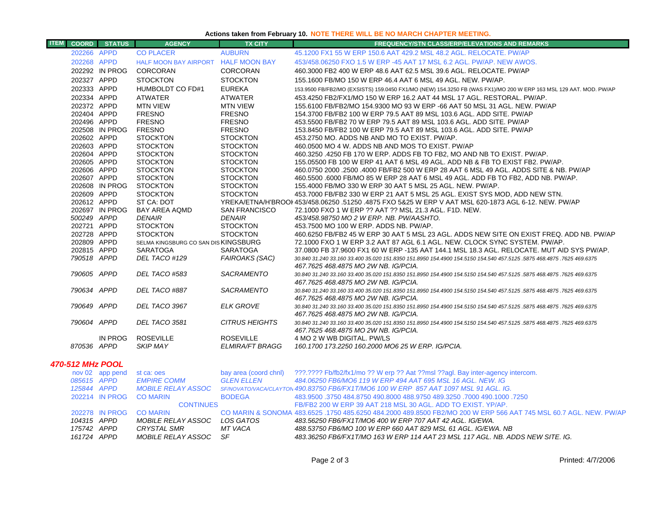# **Actions taken from February 10. NOTE THERE WILL BE NO MARCH CHAPTER MEETING.**

| <b>ITEM</b><br><b>COORD</b> | <b>STATUS</b>   | <b>AGENCY</b>                        | <b>TX CITY</b>         | <b>FREQUENCY/STN CLASS/ERP/ELEVATIONS AND REMARKS</b>                                                                                                         |
|-----------------------------|-----------------|--------------------------------------|------------------------|---------------------------------------------------------------------------------------------------------------------------------------------------------------|
| 202266 APPD                 |                 | <b>CO PLACER</b>                     | <b>AUBURN</b>          | 45.1200 FX1 55 W ERP 150.6 AAT 429.2 MSL 48.2 AGL. RELOCATE. PW/AP                                                                                            |
| 202268 APPD                 |                 | HALF MOON BAY AIRPORT HALF MOON BAY  |                        | 453/458,06250 FXO 1.5 W ERP -45 AAT 17 MSL 6.2 AGL, PW/AP, NEW AWOS.                                                                                          |
|                             | 202292 IN PROG  | CORCORAN                             | <b>CORCORAN</b>        | 460.3000 FB2 400 W ERP 48.6 AAT 62.5 MSL 39.6 AGL. RELOCATE. PW/AP                                                                                            |
| 202327 APPD                 |                 | <b>STOCKTON</b>                      | <b>STOCKTON</b>        | 155.1600 FB/MO 150 W ERP 46.4 AAT 6 MSL 49 AGL, NEW, PW/AP.                                                                                                   |
| 202333 APPD                 |                 | HUMBOLDT CO FD#1                     | <b>EUREKA</b>          | 153.9500 FB/FB2/MO (EXSISTS) 159.0450 FX1/MO (NEW) 154.3250 FB (WAS FX1)/MO 200 W ERP 163 MSL 129 AAT. MOD. PW/AP                                             |
| 202334 APPD                 |                 | <b>ATWATER</b>                       | <b>ATWATER</b>         | 453.4250 FB2/FX1/MO 150 W ERP 16.2 AAT 44 MSL 17 AGL, RESTORAL, PW/AP.                                                                                        |
| 202372 APPD                 |                 | <b>MTN VIEW</b>                      | <b>MTN VIEW</b>        | 155,6100 FB/FB2/MO 154,9300 MO 93 W ERP -66 AAT 50 MSL 31 AGL, NEW, PW/AP                                                                                     |
| 202404 APPD                 |                 | <b>FRESNO</b>                        | <b>FRESNO</b>          | 154,3700 FB/FB2 100 W ERP 79.5 AAT 89 MSL 103.6 AGL, ADD SITE, PW/AP                                                                                          |
| 202496 APPD                 |                 | <b>FRESNO</b>                        | <b>FRESNO</b>          | 453.5500 FB/FB2 70 W ERP 79.5 AAT 89 MSL 103.6 AGL, ADD SITE, PW/AP                                                                                           |
|                             | 202508 IN PROG  | <b>FRESNO</b>                        | <b>FRESNO</b>          | 153.8450 FB/FB2 100 W ERP 79.5 AAT 89 MSL 103.6 AGL. ADD SITE. PW/AP                                                                                          |
| 202602 APPD                 |                 | <b>STOCKTON</b>                      | <b>STOCKTON</b>        | 453.2750 MO, ADDS NB AND MO TO EXIST, PW/AP.                                                                                                                  |
| 202603 APPD                 |                 | <b>STOCKTON</b>                      | <b>STOCKTON</b>        | 460,0500 MO 4 W, ADDS NB AND MOS TO EXIST, PW/AP                                                                                                              |
| 202604 APPD                 |                 | <b>STOCKTON</b>                      | <b>STOCKTON</b>        | 460.3250 .4250 FB 170 W ERP. ADDS FB TO FB2, MO AND NB TO EXIST. PW/AP.                                                                                       |
| 202605 APPD                 |                 | <b>STOCKTON</b>                      | <b>STOCKTON</b>        | 155,05500 FB 100 W ERP 41 AAT 6 MSL 49 AGL, ADD NB & FB TO EXIST FB2, PW/AP.                                                                                  |
| 202606 APPD                 |                 | <b>STOCKTON</b>                      | <b>STOCKTON</b>        | 460.0750 2000 .2500 .4000 FB/FB2 500 W ERP 28 AAT 6 MSL 49 AGL. ADDS SITE & NB. PW/AP                                                                         |
| 202607 APPD                 |                 | <b>STOCKTON</b>                      | <b>STOCKTON</b>        | 460.5500 .6000 FB/MO 85 W ERP 28 AAT 6 MSL 49 AGL. ADD FB TO FB2, ADD NB. PW/AP.                                                                              |
|                             | 202608 IN PROG  | <b>STOCKTON</b>                      | <b>STOCKTON</b>        | 155,4000 FB/MO 330 W ERP 30 AAT 5 MSL 25 AGL, NEW, PW/AP.                                                                                                     |
| 202609 APPD                 |                 | <b>STOCKTON</b>                      | <b>STOCKTON</b>        | 453.7000 FB/FB2 330 W ERP 21 AAT 5 MSL 25 AGL. EXIST SYS MOD, ADD NEW STN.                                                                                    |
| 202612 APPD                 |                 | ST CA: DOT                           |                        | YREKA/ETNA/H'BROOI 453/458.06250 .51250 .4875 FXO 5&25 W ERP V AAT MSL 620-1873 AGL 6-12. NEW. PW/AP                                                          |
|                             | 202697 IN PROG  | BAY AREA AQMD                        | <b>SAN FRANCISCO</b>   | 72.1000 FXO 1 W ERP ?? AAT ?? MSL 21.3 AGL. F1D. NEW.                                                                                                         |
| 500249 APPD                 |                 | <b>DENAIR</b>                        | <b>DENAIR</b>          | 453/458.98750 MO 2 W ERP. NB. PW/AASHTO.                                                                                                                      |
| 202721 APPD                 |                 | <b>STOCKTON</b>                      | <b>STOCKTON</b>        | 453.7500 MO 100 W ERP. ADDS NB, PW/AP.                                                                                                                        |
| 202728 APPD                 |                 | <b>STOCKTON</b>                      | <b>STOCKTON</b>        | 460.6250 FB/FB2 45 W ERP 30 AAT 5 MSL 23 AGL. ADDS NEW SITE ON EXIST FREQ. ADD NB. PW/AP                                                                      |
| 202809 APPD                 |                 | SELMA KINGSBURG CO SAN DIS KINGSBURG |                        | 72.1000 FXO 1 W ERP 3.2 AAT 87 AGL 6.1 AGL. NEW. CLOCK SYNC SYSTEM. PW/AP.                                                                                    |
| 202815 APPD                 |                 | <b>SARATOGA</b>                      | <b>SARATOGA</b>        | 37.0800 FB 37.9600 FX1 60 W ERP -135 AAT 144.1 MSL 18.3 AGL. RELOCATE. MUT AID SYS PW/AP.                                                                     |
| 790518 APPD                 |                 | DEL TACO #129                        | <b>FAIROAKS (SAC)</b>  | 30.840 31.240 33.160 33.400 35.020 151.8350 151.8950 154.4900 154.5150 154.540 457.5125 .5875 468.4875 .7625 469.6375<br>467.7625 468.4875 MO 2W NB. IG/PCIA. |
| 790605 APPD                 |                 | DEL TACO #583                        | <b>SACRAMENTO</b>      | 30.840 31.240 33.160 33.400 35.020 151.8350 151.8950 154.4900 154.5150 154.540 457.5125 .5875 468.4875 .7625 469.6375                                         |
|                             |                 |                                      |                        | 467.7625 468.4875 MO 2W NB. IG/PCIA.                                                                                                                          |
| 790634 APPD                 |                 | DEL TACO #887                        | <b>SACRAMENTO</b>      | 30.840 31.240 33.160 33.400 35.020 151.8350 151.8950 154.4900 154.5150 154.540 457.5125 .5875 468.4875 .7625 469.6375                                         |
|                             |                 |                                      |                        | 467.7625 468.4875 MO 2W NB. IG/PCIA.                                                                                                                          |
| 790649 APPD                 |                 | DEL TACO 3967                        | <b>ELK GROVE</b>       | 30.840 31.240 33.160 33.400 35.020 151.8350 151.8950 154.4900 154.5150 154.540 457.5125 .5875 468.4875 .7625 469.6375                                         |
|                             |                 |                                      |                        | 467.7625 468.4875 MO 2W NB. IG/PCIA.                                                                                                                          |
| 790604 APPD                 |                 | DEL TACO 3581                        | <b>CITRUS HEIGHTS</b>  | 30.840 31.240 33.160 33.400 35.020 151.8350 151.8950 154.4900 154.5150 154.540 457.5125 .5875 468.4875 .7625 469.6375                                         |
|                             |                 |                                      |                        | 467.7625 468.4875 MO 2W NB. IG/PCIA.                                                                                                                          |
|                             | IN PROG         | <b>ROSEVILLE</b>                     | <b>ROSEVILLE</b>       | 4 MO 2 W WB DIGITAL. PW/LS                                                                                                                                    |
| 870536 APPD                 |                 | <b>SKIP MAY</b>                      | <b>ELMIRA/FT BRAGG</b> | 160.1700 173.2250 160.2000 MO6 25 W ERP. IG/PCIA.                                                                                                             |
|                             |                 |                                      |                        |                                                                                                                                                               |
| 470-512 MHz POOL            |                 |                                      |                        |                                                                                                                                                               |
|                             | nov 02 app pend | st ca: oes                           | bay area (coord chnl)  | ???.???? Fb/fb2/fx1/mo ?? W erp ?? Aat ??msl ??agl. Bay inter-agency intercom.                                                                                |
| 085615 APPD                 |                 | <b>EMPIRE COMM</b>                   | <b>GLEN ELLEN</b>      | 484.06250 FB6/MO6 119 W ERP 494 AAT 695 MSL 16 AGL. NEW. IG                                                                                                   |

| 085615 APPD | <i>EMPIRE COMM</i>      | GLEN FLLEN    |                                                                                                                   |
|-------------|-------------------------|---------------|-------------------------------------------------------------------------------------------------------------------|
| 125844 APPD | MOBILE RELAY ASSOC      |               | SF/NOVATO/VACA/CLAYTON 490.83750 FB6/FX1T/MO6 100 W ERP 857 AAT 1097 MSL 91 AGL. IG.                              |
|             | 202214 IN PROG CO MARIN | <b>BODFGA</b> | 483.9500 .3750 484.8750 490.8000 488.9750 489.3250 .7000 490.1000 .3750                                           |
|             | <b>CONTINUES</b>        |               | FB/FB2 200 W ERP 39 AAT 218 MSL 30 AGL, ADD TO EXIST, YP/AP.                                                      |
|             | 202278 IN PROG CO MARIN |               | CO MARIN & SONOMA 483,6525 ,1750 485,6250 484,2000 489,8500 FB2/MO 200 W ERP 566 AAT 745 MSL 60.7 AGL. NEW, PW/AP |
| 104315 APPD | MOBILE RELAY ASSOC      | LOS GATOS     | 483.56250 FB6/FX1T/MO6 400 W ERP 707 AAT 42 AGL. IG/EWA.                                                          |
| 175742 APPD | CRYSTAL SMR             | MT VACA       | 488.53750 FB6/MO 100 W ERP 660 AAT 829 MSL 61 AGL. IG/EWA. NB                                                     |
| 161724 APPD | MOBILE RELAY ASSOC      | .SF           | 483.36250 FB6/FX1T/MO 163 W ERP 114 AAT 23 MSL 117 AGL. NB. ADDS NEW SITE. IG.                                    |
|             |                         |               |                                                                                                                   |